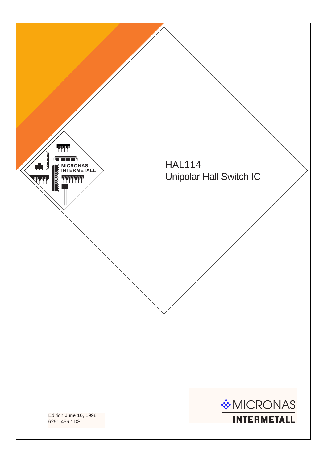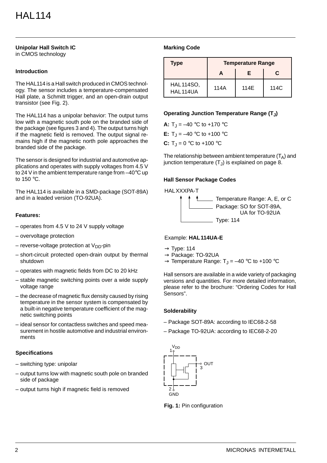#### **Unipolar Hall Switch IC** in CMOS technology

# **Introduction**

The HAL114 is a Hall switch produced in CMOS technology. The sensor includes a temperature-compensated Hall plate, a Schmitt trigger, and an open-drain output transistor (see Fig. 2).

The HAL114 has a unipolar behavior: The output turns low with a magnetic south pole on the branded side of the package (see figures 3 and 4). The output turns high if the magnetic field is removed. The output signal remains high if the magnetic north pole approaches the branded side of the package.

The sensor is designed for industrial and automotive applications and operates with supply voltages from 4.5 V to 24 V in the ambient temperature range from –40°C up to 150 °C.

The HAL114 is available in a SMD-package (SOT-89A) and in a leaded version (TO-92UA).

## **Features:**

- operates from 4.5 V to 24 V supply voltage
- overvoltage protection
- reverse-voltage protection at  $V_{DD}$ -pin
- short-circuit protected open-drain output by thermal shutdown
- operates with magnetic fields from DC to 20 kHz
- stable magnetic switching points over a wide supply voltage range
- the decrease of magnetic flux density caused by rising temperature in the sensor system is compensated by a built-in negative temperature coefficient of the magnetic switching points
- ideal sensor for contactless switches and speed measurement in hostile automotive and industrial environments

# **Specifications**

- switching type: unipolar
- output turns low with magnetic south pole on branded side of package
- output turns high if magnetic field is removed

# **Marking Code**

| <b>Type</b>                  | <b>Temperature Range</b> |      |      |  |  |  |
|------------------------------|--------------------------|------|------|--|--|--|
|                              |                          | F    | C    |  |  |  |
| <b>HAL114SO,</b><br>HAL114UA | 114A                     | 114E | 114C |  |  |  |

## **Operating Junction Temperature Range (TJ)**

**A:**  $T_1 = -40$  °C to  $+170$  °C **E:**  $T_1 = -40$  °C to +100 °C **C:**  $T_{\text{J}} = 0$  °C to +100 °C

The relationship between ambient temperature  $(T<sub>A</sub>)$  and junction temperature  $(T<sub>J</sub>)$  is explained on page 8.

### **Hall Sensor Package Codes**



### Example: **HAL114UA-E**

- $\rightarrow$  Type: 114
- $\rightarrow$  Package: TO-92UA
- $\rightarrow$  Temperature Range: T<sub>J</sub> = -40 °C to +100 °C

Hall sensors are available in a wide variety of packaging versions and quantities. For more detailed information, please refer to the brochure: "Ordering Codes for Hall Sensors".

### **Solderability**

- Package SOT-89A: according to IEC68-2-58
- Package TO-92UA: according to IEC68-2-20



**Fig. 1:** Pin configuration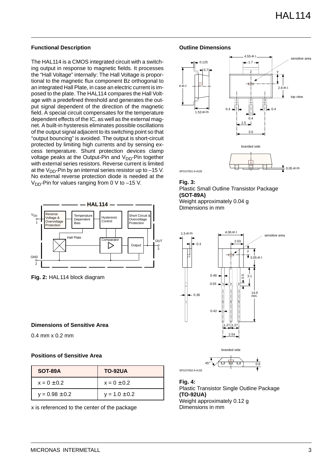## **Functional Description**

The HAL114 is a CMOS integrated circuit with a switching output in response to magnetic fields. It processes the "Hall Voltage" internally: The Hall Voltage is proportional to the magnetic flux component Bz orthogonal to an integrated Hall Plate, in case an electric current is imposed to the plate. The HAL114 compares the Hall Voltage with a predefined threshold and generates the output signal dependent of the direction of the magnetic field. A special circuit compensates for the temperature dependent effects of the IC, as well as the external magnet. A built-in hysteresis eliminates possible oscillations of the output signal adjacent to its switching point so that "output bouncing" is avoided. The output is short-circuit protected by limiting high currents and by sensing excess temperature. Shunt protection devices clamp voltage peaks at the Output-Pin and  $V_{DD}$ -Pin together with external series resistors. Reverse current is limited at the  $V_{DD}$ -Pin by an internal series resistor up to -15 V. No external reverse protection diode is needed at the  $V_{DD}$ -Pin for values ranging from 0 V to -15 V.



**Fig. 2:** HAL114 block diagram

### **Dimensions of Sensitive Area**

0.4 mm x 0.2 mm

### **Positions of Sensitive Area**

| SOT-89A            | <b>TO-92UA</b>    |
|--------------------|-------------------|
| $x = 0 \pm 0.2$    | $x = 0 \pm 0.2$   |
| $y = 0.98 \pm 0.2$ | $y = 1.0 \pm 0.2$ |

x is referenced to the center of the package

## **Outline Dimensions**



#### **Fig. 3:**

Plastic Small Outline Transistor Package **(SOT-89A)** Weight approximately 0.04 g Dimensions in mm





**Fig. 4:**  Plastic Transistor Single Outline Package **(TO-92UA)** Weight approximately 0.12 g Dimensions in mm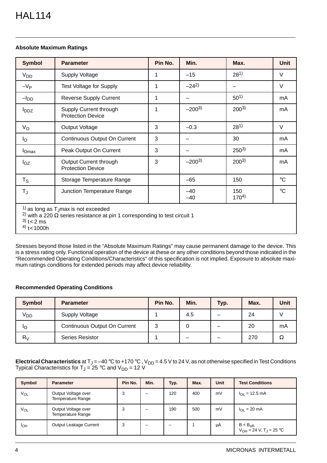# **Absolute Maximum Ratings**

| <b>Symbol</b>                       | <b>Parameter</b>                                                                                                                                  | Pin No. | Min.           | Max.             | Unit            |
|-------------------------------------|---------------------------------------------------------------------------------------------------------------------------------------------------|---------|----------------|------------------|-----------------|
| V <sub>DD</sub>                     | <b>Supply Voltage</b>                                                                                                                             | 1       | $-15$          | $28^{1}$         | $\vee$          |
| $-V_{P}$                            | <b>Test Voltage for Supply</b>                                                                                                                    | 1       | $-24^{2}$      |                  | $\vee$          |
| $-IDD$                              | <b>Reverse Supply Current</b>                                                                                                                     | 1       |                | $50^{1}$         | mA              |
| <b>I</b> <sub>DDZ</sub>             | Supply Current through<br><b>Protection Device</b>                                                                                                | 1       | $-200^{3}$     | $200^{3}$        | mA              |
| $V_{\rm O}$                         | Output Voltage                                                                                                                                    | 3       | $-0.3$         | $28^{1}$         | $\vee$          |
| l <sub>O</sub>                      | Continuous Output On Current                                                                                                                      | 3       |                | 30               | mA              |
| $I_{Omax}$                          | Peak Output On Current                                                                                                                            | 3       |                | $250^{3}$        | mA              |
| $I_{OZ}$                            | Output Current through<br><b>Protection Device</b>                                                                                                | 3       | $-200^{3}$     | $200^{3}$        | mA              |
| $T_S$                               | Storage Temperature Range                                                                                                                         |         | $-65$          | 150              | $\rm ^{\circ}C$ |
| $T_{\text{J}}$                      | Junction Temperature Range                                                                                                                        |         | $-40$<br>$-40$ | 150<br>$170^{4}$ | $\rm ^{\circ}C$ |
| $3)$ t < 2 ms<br>$^{(4)}$ t < 1000h | $1$ as long as T <sub>J</sub> max is not exceeded<br><sup>2)</sup> with a 220 $\Omega$ series resistance at pin 1 corresponding to test circuit 1 |         |                |                  |                 |

Stresses beyond those listed in the "Absolute Maximum Ratings" may cause permanent damage to the device. This is a stress rating only. Functional operation of the device at these or any other conditions beyond those indicated in the "Recommended Operating Conditions/Characteristics" of this specification is not implied. Exposure to absolute maximum ratings conditions for extended periods may affect device reliability.

# **Recommended Operating Conditions**

| Symbol          | <b>Parameter</b>                    | Pin No. | Min. | Typ. | Max. | Unit |
|-----------------|-------------------------------------|---------|------|------|------|------|
| V <sub>DD</sub> | <b>Supply Voltage</b>               |         | 4.5  |      | 24   |      |
| IО              | <b>Continuous Output On Current</b> | ર       |      |      | 20   | mA   |
| $R_V$           | <b>Series Resistor</b>              |         |      |      | 270  | Ω    |

**Electrical Characteristics** at T<sub>J</sub> = –40 °C to +170 °C , V<sub>DD</sub> = 4.5 V to 24 V, as not otherwise specified in Test Conditions Typical Characteristics for T $_{\textrm{\scriptsize{J}}}$  = 25 °C and V<sub>DD</sub> = 12 V

| Symbol          | <b>Parameter</b>                                | Pin No. | Min. | Typ. | Max. | Unit | <b>Test Conditions</b>                          |
|-----------------|-------------------------------------------------|---------|------|------|------|------|-------------------------------------------------|
| V <sub>OL</sub> | Output Voltage over<br><b>Temperature Range</b> | 3       |      | 120  | 400  | mV   | $I_{\Omega}$ = 12.5 mA                          |
| VOL             | Output Voltage over<br><b>Temperature Range</b> | 3       |      | 190  | 500  | mV   | $I_{\Omega} = 20 \text{ mA}$                    |
| I <sub>OH</sub> | Output Leakage Current                          | 3       |      |      |      | μA   | $B < B_{off}$<br>$V_{OH} = 24 V, T_{J} = 25 °C$ |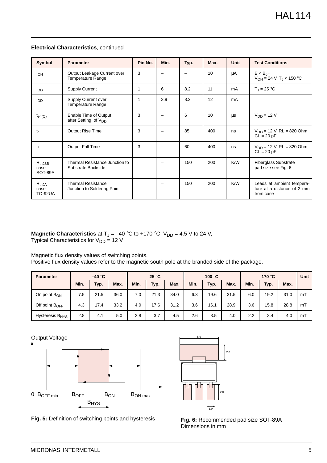| Symbol                                  | <b>Parameter</b>                                          | Pin No. | Min. | Typ. | Max. | <b>Unit</b> | <b>Test Conditions</b>                                               |
|-----------------------------------------|-----------------------------------------------------------|---------|------|------|------|-------------|----------------------------------------------------------------------|
| I <sub>OH</sub>                         | Output Leakage Current over<br><b>Temperature Range</b>   | 3       |      |      | 10   | μA          | $B < B_{off}$<br>$V_{OH} = 24$ V, T <sub>J</sub> < 150 °C            |
| l <sub>DD</sub>                         | <b>Supply Current</b>                                     | 1       | 6    | 8.2  | 11   | mA          | $T_{\rm J}$ = 25 °C                                                  |
| l <sub>DD</sub>                         | Supply Current over<br><b>Temperature Range</b>           | 1       | 3.9  | 8.2  | 12   | mA          |                                                                      |
| $t_{en(O)}$                             | Enable Time of Output<br>after Setting of V <sub>DD</sub> | 3       |      | 6    | 10   | μs          | $V_{DD} = 12 V$                                                      |
| $t_{r}$                                 | <b>Output Rise Time</b>                                   | 3       |      | 85   | 400  | ns          | $V_{DD}$ = 12 V, RL = 820 Ohm,<br>$CL = 20 pF$                       |
| t <sub>f</sub>                          | Output Fall Time                                          | 3       |      | 60   | 400  | ns          | $V_{DD}$ = 12 V, RL = 820 Ohm,<br>$CL = 20 pF$                       |
| $R_{th, \text{ISB}}$<br>case<br>SOT-89A | Thermal Resistance Junction to<br>Substrate Backside      |         |      | 150  | 200  | K/W         | <b>Fiberglass Substrate</b><br>pad size see Fig. 6                   |
| $R_{thJA}$<br>case<br><b>TO-92UA</b>    | <b>Thermal Resistance</b><br>Junction to Soldering Point  |         |      | 150  | 200  | K/W         | Leads at ambient tempera-<br>ture at a distance of 2 mm<br>from case |

### **Electrical Characteristics**, continued

**Magnetic Characteristics** at T<sub>J</sub> = –40 °C to +170 °C, V<sub>DD</sub> = 4.5 V to 24 V, Typical Characteristics for  $\rm V_{DD}$  = 12 V

Magnetic flux density values of switching points.

Positive flux density values refer to the magnetic south pole at the branded side of the package.

| <b>Parameter</b>            | $-40 °C$ |      |      | $25^{\circ}$ C |      | 100 $\degree$ C |      |      | 170 °C |      |      | Unit |    |
|-----------------------------|----------|------|------|----------------|------|-----------------|------|------|--------|------|------|------|----|
|                             | Min.     | Typ. | Max. | Min.           | Typ. | Max.            | Min. | Typ. | Max.   | Min. | Typ. | Max. |    |
| On point $B_{ON}$           | 7.5      | 21.5 | 36.0 | 7.0            | 21.3 | 34.0            | 6.3  | 19.6 | 31.5   | 6.0  | 19.2 | 31.0 | mT |
| Off point B <sub>OFF</sub>  | 4.3      | 17.4 | 33.2 | 4.0            | 17.6 | 31.2            | 3.6  | 16.1 | 28.9   | 3.6  | 15.8 | 28.8 | mT |
| Hysteresis B <sub>HYS</sub> | 2.8      | 4.1  | 5.0  | 2.8            | 3.7  | 4.5             | 2.6  | 3.5  | 4.0    | 2.2  | 3.4  | 4.0  | mT |



**Fig. 5:** Definition of switching points and hysteresis



**Fig. 6:** Recommended pad size SOT-89A Dimensions in mm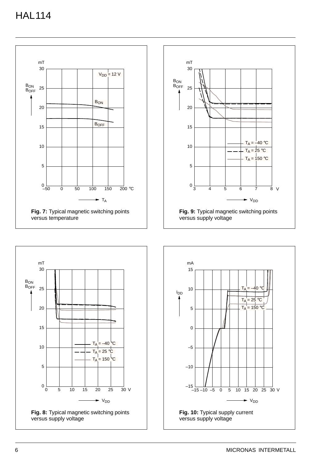



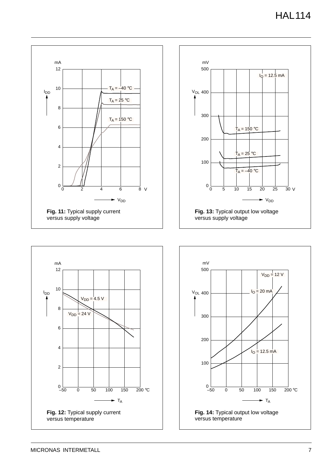



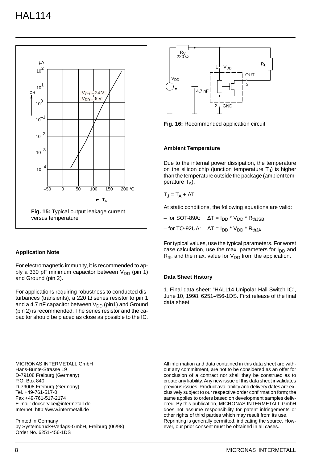

### **Application Note**

For electromagnetic immunity, it is recommended to apply a 330 pF minimum capacitor between  $V_{DD}$  (pin 1) and Ground (pin 2).

For applications requiring robustness to conducted disturbances (transients), a 220  $\Omega$  series resistor to pin 1 and a 4.7 nF capacitor between  $V_{DD}$  (pin1) and Ground (pin 2) is recommended. The series resistor and the capacitor should be placed as close as possible to the IC.

MICRONAS INTERMETALL GmbH Hans-Bunte-Strasse 19 D-79108 Freiburg (Germany) P.O. Box 840 D-79008 Freiburg (Germany) Tel. +49-761-517-0 Fax +49-761-517-2174 E-mail: docservice@intermetall.de Internet: http://www.intermetall.de

Printed in Germany by Systemdruck+Verlags-GmbH, Freiburg (06/98) Order No. 6251-456-1DS



**Fig. 16:** Recommended application circuit

#### **Ambient Temperature**

Due to the internal power dissipation, the temperature on the silicon chip (junction temperature  $T_{J}$ ) is higher than the temperature outside the package (ambient temperature  $T_A$ ).

$$
T_J = T_A + \Delta T
$$

At static conditions, the following equations are valid:

| – for SOT-89A:    ∆T = I <sub>DD</sub> * V <sub>DD</sub> * R <sub>thJSB</sub> |
|-------------------------------------------------------------------------------|
| $-$ for TO-92UA: $\Delta T = I_{DD} * V_{DD} * R_{thJA}$                      |

For typical values, use the typical parameters. For worst case calculation, use the max. parameters for  $I_{DD}$  and  $R_{th}$ , and the max. value for  $V_{DD}$  from the application.

#### **Data Sheet History**

1. Final data sheet: "HAL114 Unipolar Hall Switch IC", June 10, 1998, 6251-456-1DS. First release of the final data sheet.

All information and data contained in this data sheet are without any commitment, are not to be considered as an offer for conclusion of a contract nor shall they be construed as to create any liability. Any new issue of this data sheet invalidates previous issues. Product availability and delivery dates are exclusively subject to our respective order confirmation form; the same applies to orders based on development samples delivered. By this publication, MICRONAS INTERMETALL GmbH does not assume responsibility for patent infringements or other rights of third parties which may result from its use. Reprinting is generally permitted, indicating the source. However, our prior consent must be obtained in all cases.